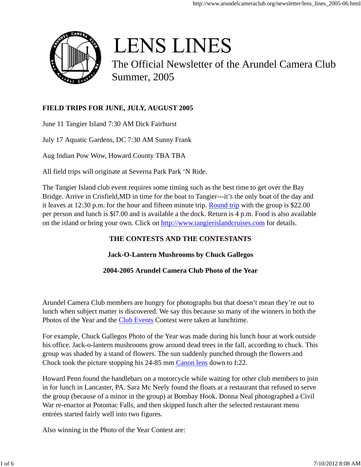

# **LENS LINES**

The Official Newsletter of the Arundel Camera Club Summer, 2005

# **FIELD TRIPS FOR JUNE, JULY, AUGUST 2005**

June 11 Tangier Island 7:30 AM Dick Fairhurst

July 17 Aquatic Gardens, DC 7:30 AM Sunny Frank

Aug Indian Pow Wow, Howard County TBA TBA

All field trips will originate at Severna Park Park 'N Ride.

The Tangier Island club event requires some timing such as the best time to get over the Bay Bridge. Arrive in Crisfield,MD in time for the boat to Tangier---it's the only boat of the day and it leaves at 12:30 p.m. for the hour and fifteen minute trip. Round trip with the group is \$22.00 per person and lunch is \$l7.00 and is available a the dock. Return is 4 p.m. Food is also available on the island or bring your own. Click on http://www.tangierislandcruises.com for details.

# **THE CONTESTS AND THE CONTESTANTS**

# **Jack-O-Lantern Mushrooms by Chuck Gallegos**

# **2004-2005 Arundel Camera Club Photo of the Year**

Arundel Camera Club members are hungry for photographs but that doesn't mean they're out to lunch when subject matter is discovered. We say this because so many of the winners in both the Photos of the Year and the Club Events Contest were taken at lunchtime.

For example, Chuck Gallegos Photo of the Year was made during his lunch hour at work outside his office. Jack-o-lantern mushrooms grow around dead trees in the fall, according to chuck. This group was shaded by a stand of flowers. The sun suddenly punched through the flowers and Chuck took the picture stopping his 24-85 mm Canon lens down to f:22.

Howard Penn found the handlebars on a motorcycle while waiting for other club members to join in for lunch in Lancaster, PA. Sara Mc Neely found the floats at a restaurant that refused to serve the group (because of a minor in the group) at Bombay Hook. Donna Neal photographed a Civil War re-enactor at Potomac Falls, and then skipped lunch after the selected restaurant menu entrées started fairly well into two figures.

Also winning in the Photo of the Year Contest are: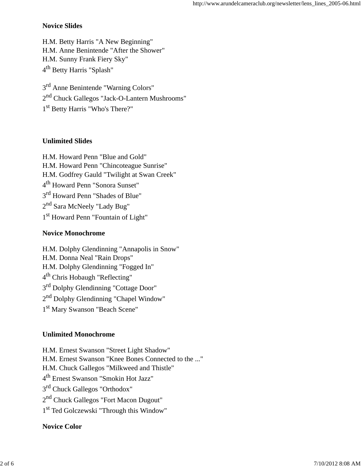## **Novice Slides**

H.M. Betty Harris "A New Beginning" H.M. Anne Benintende "After the Shower" H.M. Sunny Frank Fiery Sky" 4<sup>th</sup> Betty Harris "Splash"

3<sup>rd</sup> Anne Benintende "Warning Colors" 2<sup>nd</sup> Chuck Gallegos "Jack-O-Lantern Mushrooms" 1<sup>st</sup> Betty Harris "Who's There?"

# **Unlimited Slides**

H.M. Howard Penn "Blue and Gold" H.M. Howard Penn "Chincoteague Sunrise" H.M. Godfrey Gauld "Twilight at Swan Creek" 4 th Howard Penn "Sonora Sunset" 3<sup>rd</sup> Howard Penn "Shades of Blue" 2<sup>nd</sup> Sara McNeely "Lady Bug" 1<sup>st</sup> Howard Penn "Fountain of Light"

# **Novice Monochrome**

H.M. Dolphy Glendinning "Annapolis in Snow" H.M. Donna Neal "Rain Drops" H.M. Dolphy Glendinning "Fogged In" 4<sup>th</sup> Chris Hobaugh "Reflecting" 3<sup>rd</sup> Dolphy Glendinning "Cottage Door" 2<sup>nd</sup> Dolphy Glendinning "Chapel Window" 1<sup>st</sup> Mary Swanson "Beach Scene"

# **Unlimited Monochrome**

H.M. Ernest Swanson "Street Light Shadow" H.M. Ernest Swanson "Knee Bones Connected to the ..." H.M. Chuck Gallegos "Milkweed and Thistle" 4 th Ernest Swanson "Smokin Hot Jazz" 3<sup>rd</sup> Chuck Gallegos "Orthodox" 2<sup>nd</sup> Chuck Gallegos "Fort Macon Dugout" 1<sup>st</sup> Ted Golczewski "Through this Window"

# **Novice Color**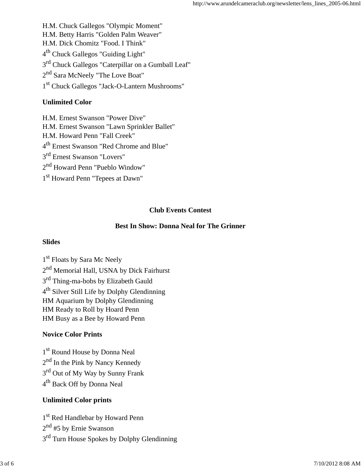H.M. Chuck Gallegos "Olympic Moment" H.M. Betty Harris "Golden Palm Weaver" H.M. Dick Chomitz "Food. I Think" 4<sup>th</sup> Chuck Gallegos "Guiding Light" 3<sup>rd</sup> Chuck Gallegos "Caterpillar on a Gumball Leaf" 2<sup>nd</sup> Sara McNeely "The Love Boat" 1<sup>st</sup> Chuck Gallegos "Jack-O-Lantern Mushrooms"

## **Unlimited Color**

H.M. Ernest Swanson "Power Dive" H.M. Ernest Swanson "Lawn Sprinkler Ballet" H.M. Howard Penn "Fall Creek" 4 th Ernest Swanson "Red Chrome and Blue" 3<sup>rd</sup> Ernest Swanson "Lovers" 2<sup>nd</sup> Howard Penn "Pueblo Window" 1<sup>st</sup> Howard Penn "Tepees at Dawn"

# **Club Events Contest**

# **Best In Show: Donna Neal for The Grinner**

#### **Slides**

1<sup>st</sup> Floats by Sara Mc Neely 2<sup>nd</sup> Memorial Hall, USNA by Dick Fairhurst 3<sup>rd</sup> Thing-ma-bobs by Elizabeth Gauld 4<sup>th</sup> Silver Still Life by Dolphy Glendinning HM Aquarium by Dolphy Glendinning HM Ready to Roll by Hoard Penn HM Busy as a Bee by Howard Penn

# **Novice Color Prints**

1<sup>st</sup> Round House by Donna Neal 2<sup>nd</sup> In the Pink by Nancy Kennedy 3<sup>rd</sup> Out of My Way by Sunny Frank 4 th Back Off by Donna Neal

# **Unlimited Color prints**

1<sup>st</sup> Red Handlebar by Howard Penn 2<sup>nd</sup> #5 by Ernie Swanson 3<sup>rd</sup> Turn House Spokes by Dolphy Glendinning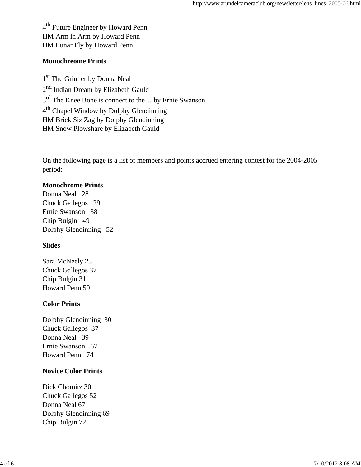4<sup>th</sup> Future Engineer by Howard Penn HM Arm in Arm by Howard Penn HM Lunar Fly by Howard Penn

#### **Monochreome Prints**

1 st The Grinner by Donna Neal 2<sup>nd</sup> Indian Dream by Elizabeth Gauld 3<sup>rd</sup> The Knee Bone is connect to the... by Ernie Swanson 4<sup>th</sup> Chapel Window by Dolphy Glendinning HM Brick Siz Zag by Dolphy Glendinning HM Snow Plowshare by Elizabeth Gauld

On the following page is a list of members and points accrued entering contest for the 2004-2005 period:

#### **Monochrome Prints**

Donna Neal 28 Chuck Gallegos 29 Ernie Swanson 38 Chip Bulgin 49 Dolphy Glendinning 52

#### **Slides**

Sara McNeely 23 Chuck Gallegos 37 Chip Bulgin 31 Howard Penn 59

#### **Color Prints**

Dolphy Glendinning 30 Chuck Gallegos 37 Donna Neal 39 Ernie Swanson 67 Howard Penn 74

## **Novice Color Prints**

Dick Chomitz 30 Chuck Gallegos 52 Donna Neal 67 Dolphy Glendinning 69 Chip Bulgin 72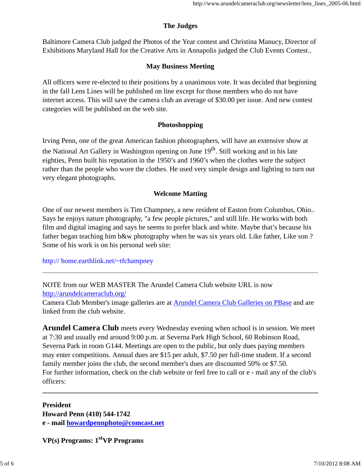## **The Judges**

Baltimore Camera Club judged the Photos of the Year contest and Christina Manucy, Director of Exhibitions Maryland Hall for the Creative Arts in Annapolis judged the Club Events Contest..

### **May Business Meeting**

All officers were re-elected to their positions by a unanimous vote. It was decided that beginning in the fall Lens Lines will be published on line except for those members who do not have internet access. This will save the camera club an average of \$30.00 per issue. And new contest categories will be published on the web site.

#### **Photoshopping**

Irving Penn, one of the great American fashion photographers, will have an extensive show at the National Art Gallery in Washington opening on June 19<sup>th</sup>. Still working and in his late eighties, Penn built his reputation in the 1950's and 1960's when the clothes were the subject rather than the people who wore the clothes. He used very simple design and lighting to turn out very elegant photographs.

#### **Welcome Matting**

One of our newest members is Tim Champney, a new resident of Easton from Columbus, Ohio.. Says he enjoys nature photography, "a few people pictures," and still life. He works with both film and digital imaging and says he seems to prefer black and white. Maybe that's because his father began teaching him b&w photography when he was six years old. Like father, Like son? Some of his work is on his personal web site:

http:// home.earthlink.net/~tfchampney

NOTE from our WEB MASTER The Arundel Camera Club website URL is now http://arundelcameraclub.org/

Camera Club Member's image galleries are at Arundel Camera Club Galleries on PBase and are linked from the club website.

**Arundel Camera Club** meets every Wednesday evening when school is in session. We meet at 7:30 and usually end around 9:00 p.m. at Severna Park High School, 60 Robinson Road, Severna Park in room G144. Meetings are open to the public, but only dues paying members may enter competitions. Annual dues are \$15 per adult, \$7.50 per full-time student. If a second family member joins the club, the second member's dues are discounted 50% or \$7.50. For further information, check on the club website or feel free to call or e - mail any of the club's officers:

**President Howard Penn (410) 544-1742 e - mail howardpennphoto@comcast.net**

**VP(s) Programs: 1stVP Programs**